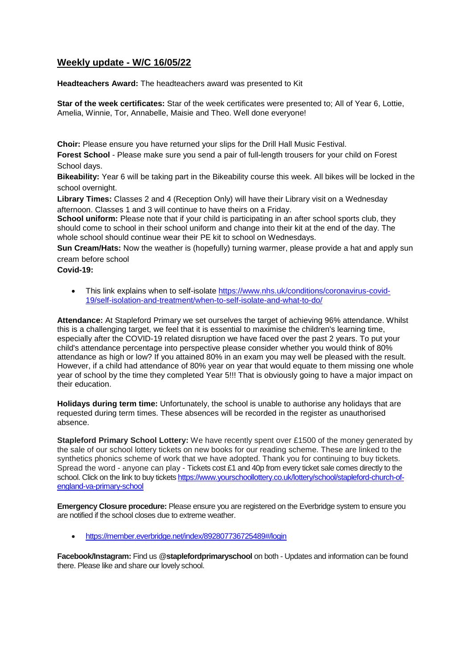## **Weekly update - W/C 16/05/22**

**Headteachers Award:** The headteachers award was presented to Kit

**Star of the week certificates:** Star of the week certificates were presented to; All of Year 6, Lottie, Amelia, Winnie, Tor, Annabelle, Maisie and Theo. Well done everyone!

**Choir:** Please ensure you have returned your slips for the Drill Hall Music Festival.

**Forest School** - Please make sure you send a pair of full-length trousers for your child on Forest School days.

**Bikeability:** Year 6 will be taking part in the Bikeability course this week. All bikes will be locked in the school overnight.

**Library Times:** Classes 2 and 4 (Reception Only) will have their Library visit on a Wednesday afternoon. Classes 1 and 3 will continue to have theirs on a Friday.

**School uniform:** Please note that if your child is participating in an after school sports club, they should come to school in their school uniform and change into their kit at the end of the day. The whole school should continue wear their PE kit to school on Wednesdays.

**Sun Cream/Hats:** Now the weather is (hopefully) turning warmer, please provide a hat and apply sun cream before school

**Covid-19:** 

• This link explains when to self-isolate [https://www.nhs.uk/conditions/coronavirus-covid-](https://www.nhs.uk/conditions/coronavirus-covid-19/self-isolation-and-treatment/when-to-self-isolate-and-what-to-do/)[19/self-isolation-and-treatment/when-to-self-isolate-and-what-to-do/](https://www.nhs.uk/conditions/coronavirus-covid-19/self-isolation-and-treatment/when-to-self-isolate-and-what-to-do/)

**Attendance:** At Stapleford Primary we set ourselves the target of achieving 96% attendance. Whilst this is a challenging target, we feel that it is essential to maximise the children's learning time, especially after the COVID-19 related disruption we have faced over the past 2 years. To put your child's attendance percentage into perspective please consider whether you would think of 80% attendance as high or low? If you attained 80% in an exam you may well be pleased with the result. However, if a child had attendance of 80% year on year that would equate to them missing one whole year of school by the time they completed Year 5!!! That is obviously going to have a major impact on their education.

**Holidays during term time:** Unfortunately, the school is unable to authorise any holidays that are requested during term times. These absences will be recorded in the register as unauthorised absence.

**Stapleford Primary School Lottery:** We have recently spent over £1500 of the money generated by the sale of our school lottery tickets on new books for our reading scheme. These are linked to the synthetics phonics scheme of work that we have adopted. Thank you for continuing to buy tickets. Spread the word - anyone can play - Tickets cost £1 and 40p from every ticket sale comes directly to the school. Click on the link to buy tickets [https://www.yourschoollottery.co.uk/lottery/school/stapleford-church-of](https://www.yourschoollottery.co.uk/lottery/school/stapleford-church-of-england-va-primary-school)[england-va-primary-school](https://www.yourschoollottery.co.uk/lottery/school/stapleford-church-of-england-va-primary-school)

**Emergency Closure procedure:** Please ensure you are registered on the Everbridge system to ensure you are notified if the school closes due to extreme weather.

<https://member.everbridge.net/index/892807736725489#/login>

**Facebook/Instagram:** Find us @**staplefordprimaryschool** on both - Updates and information can be found there. Please like and share our lovely school.